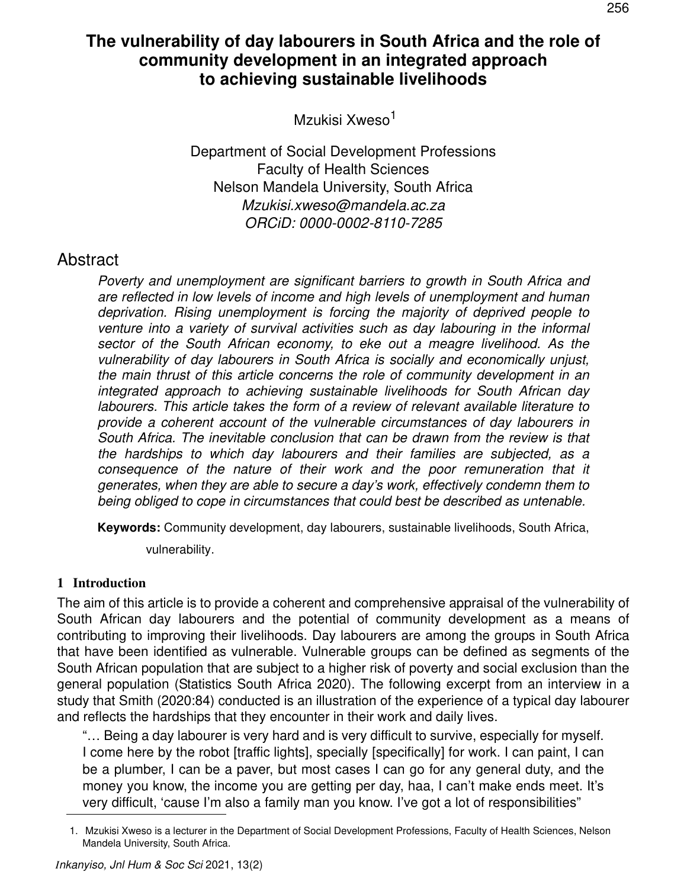# **The vulnerability of day labourers in South Africa and the role of community development in an integrated approach to achieving sustainable livelihoods**

Mzukisi Xweso<sup>1</sup>

Department of Social Development Professions Faculty of Health Sciences Nelson Mandela University, South Africa *Mzukisi.xweso@mandela.ac.za ORCiD: 0000-0002-8110-7285*

### Abstract

*Poverty and unemployment are significant barriers to growth in South Africa and are reflected in low levels of income and high levels of unemployment and human deprivation. Rising unemployment is forcing the majority of deprived people to venture into a variety of survival activities such as day labouring in the informal sector of the South African economy, to eke out a meagre livelihood. As the vulnerability of day labourers in South Africa is socially and economically unjust, the main thrust of this article concerns the role of community development in an integrated approach to achieving sustainable livelihoods for South African day labourers. This article takes the form of a review of relevant available literature to provide a coherent account of the vulnerable circumstances of day labourers in South Africa. The inevitable conclusion that can be drawn from the review is that the hardships to which day labourers and their families are subjected, as a*  consequence of the nature of their work and the poor remuneration that it *generates, when they are able to secure a day's work, effectively condemn them to being obliged to cope in circumstances that could best be described as untenable.* 

**Keywords:** Community development, day labourers, sustainable livelihoods, South Africa,

vulnerability.

### **1 Introduction**

The aim of this article is to provide a coherent and comprehensive appraisal of the vulnerability of South African day labourers and the potential of community development as a means of contributing to improving their livelihoods. Day labourers are among the groups in South Africa that have been identified as vulnerable. Vulnerable groups can be defined as segments of the South African population that are subject to a higher risk of poverty and social exclusion than the general population (Statistics South Africa 2020). The following excerpt from an interview in a study that Smith (2020:84) conducted is an illustration of the experience of a typical day labourer and reflects the hardships that they encounter in their work and daily lives.

"… Being a day labourer is very hard and is very difficult to survive, especially for myself. I come here by the robot [traffic lights], specially [specifically] for work. I can paint, I can be a plumber, I can be a paver, but most cases I can go for any general duty, and the money you know, the income you are getting per day, haa, I can't make ends meet. It's very difficult, 'cause I'm also a family man you know. I've got a lot of responsibilities"

<sup>1.</sup> Mzukisi Xweso is a lecturer in the Department of Social Development Professions, Faculty of Health Sciences, Nelson Mandela University, South Africa.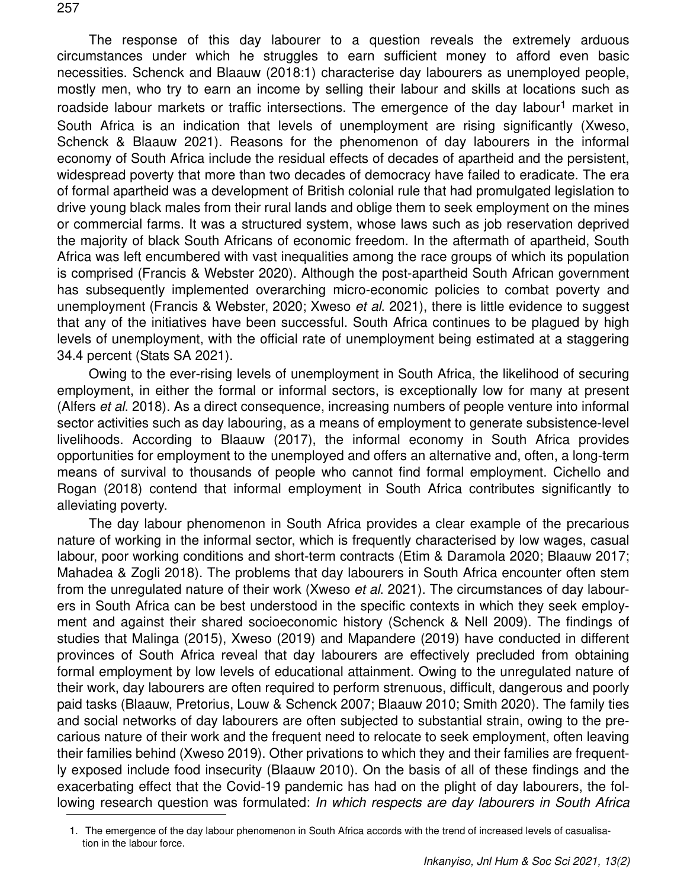The response of this day labourer to a question reveals the extremely arduous circumstances under which he struggles to earn sufficient money to afford even basic necessities. Schenck and Blaauw (2018:1) characterise day labourers as unemployed people, mostly men, who try to earn an income by selling their labour and skills at locations such as roadside labour markets or traffic intersections. The emergence of the day labour<sup>1</sup> market in South Africa is an indication that levels of unemployment are rising significantly (Xweso, Schenck & Blaauw 2021). Reasons for the phenomenon of day labourers in the informal economy of South Africa include the residual effects of decades of apartheid and the persistent, widespread poverty that more than two decades of democracy have failed to eradicate. The era of formal apartheid was a development of British colonial rule that had promulgated legislation to drive young black males from their rural lands and oblige them to seek employment on the mines or commercial farms. It was a structured system, whose laws such as job reservation deprived the majority of black South Africans of economic freedom. In the aftermath of apartheid, South Africa was left encumbered with vast inequalities among the race groups of which its population is comprised (Francis & Webster 2020). Although the post-apartheid South African government has subsequently implemented overarching micro-economic policies to combat poverty and unemployment (Francis & Webster, 2020; Xweso *et al*. 2021), there is little evidence to suggest that any of the initiatives have been successful. South Africa continues to be plagued by high levels of unemployment, with the official rate of unemployment being estimated at a staggering 34.4 percent (Stats SA 2021).

Owing to the ever-rising levels of unemployment in South Africa, the likelihood of securing employment, in either the formal or informal sectors, is exceptionally low for many at present (Alfers *et al*. 2018). As a direct consequence, increasing numbers of people venture into informal sector activities such as day labouring, as a means of employment to generate subsistence-level livelihoods. According to Blaauw (2017), the informal economy in South Africa provides opportunities for employment to the unemployed and offers an alternative and, often, a long-term means of survival to thousands of people who cannot find formal employment. Cichello and Rogan (2018) contend that informal employment in South Africa contributes significantly to alleviating poverty.

The day labour phenomenon in South Africa provides a clear example of the precarious nature of working in the informal sector, which is frequently characterised by low wages, casual labour, poor working conditions and short-term contracts (Etim & Daramola 2020; Blaauw 2017; Mahadea & Zogli 2018). The problems that day labourers in South Africa encounter often stem from the unregulated nature of their work (Xweso *et al*. 2021). The circumstances of day labourers in South Africa can be best understood in the specific contexts in which they seek employment and against their shared socioeconomic history (Schenck & Nell 2009). The findings of studies that Malinga (2015), Xweso (2019) and Mapandere (2019) have conducted in different provinces of South Africa reveal that day labourers are effectively precluded from obtaining formal employment by low levels of educational attainment. Owing to the unregulated nature of their work, day labourers are often required to perform strenuous, difficult, dangerous and poorly paid tasks (Blaauw, Pretorius, Louw & Schenck 2007; Blaauw 2010; Smith 2020). The family ties and social networks of day labourers are often subjected to substantial strain, owing to the precarious nature of their work and the frequent need to relocate to seek employment, often leaving their families behind (Xweso 2019). Other privations to which they and their families are frequently exposed include food insecurity (Blaauw 2010). On the basis of all of these findings and the exacerbating effect that the Covid-19 pandemic has had on the plight of day labourers, the following research question was formulated: *In which respects are day labourers in South Africa*

<sup>1.</sup> The emergence of the day labour phenomenon in South Africa accords with the trend of increased levels of casualisation in the labour force.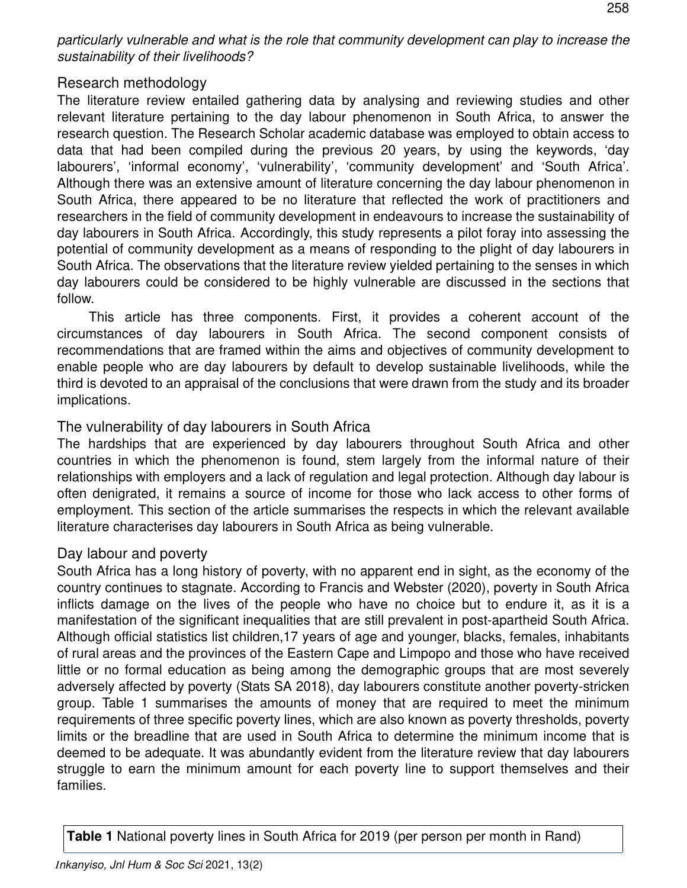*particularly vulnerable and what is the role that community development can play to increase the sustainability of their livelihoods?*

### Research methodology

The literature review entailed gathering data by analysing and reviewing studies and other relevant literature pertaining to the day labour phenomenon in South Africa, to answer the research question. The Research Scholar academic database was employed to obtain access to data that had been compiled during the previous 20 years, by using the keywords, 'day labourers', 'informal economy', 'vulnerability', 'community development' and 'South Africa'. Although there was an extensive amount of literature concerning the day labour phenomenon in South Africa, there appeared to be no literature that reflected the work of practitioners and researchers in the field of community development in endeavours to increase the sustainability of day labourers in South Africa. Accordingly, this study represents a pilot foray into assessing the potential of community development as a means of responding to the plight of day labourers in South Africa. The observations that the literature review yielded pertaining to the senses in which day labourers could be considered to be highly vulnerable are discussed in the sections that follow.

This article has three components. First, it provides a coherent account of the circumstances of day labourers in South Africa. The second component consists of recommendations that are framed within the aims and objectives of community development to enable people who are day labourers by default to develop sustainable livelihoods, while the third is devoted to an appraisal of the conclusions that were drawn from the study and its broader implications.

### The vulnerability of day labourers in South Africa

The hardships that are experienced by day labourers throughout South Africa and other countries in which the phenomenon is found, stem largely from the informal nature of their relationships with employers and a lack of regulation and legal protection. Although day labour is often denigrated, it remains a source of income for those who lack access to other forms of employment. This section of the article summarises the respects in which the relevant available literature characterises day labourers in South Africa as being vulnerable.

### Day labour and poverty

South Africa has a long history of poverty, with no apparent end in sight, as the economy of the country continues to stagnate. According to Francis and Webster (2020), poverty in South Africa inflicts damage on the lives of the people who have no choice but to endure it, as it is a manifestation of the significant inequalities that are still prevalent in post-apartheid South Africa. Although official statistics list children,17 years of age and younger, blacks, females, inhabitants of rural areas and the provinces of the Eastern Cape and Limpopo and those who have received little or no formal education as being among the demographic groups that are most severely adversely affected by poverty (Stats SA 2018), day labourers constitute another poverty-stricken group. Table 1 summarises the amounts of money that are required to meet the minimum requirements of three specific poverty lines, which are also known as poverty thresholds, poverty limits or the breadline that are used in South Africa to determine the minimum income that is deemed to be adequate. It was abundantly evident from the literature review that day labourers struggle to earn the minimum amount for each poverty line to support themselves and their families.

**Table 1** National poverty lines in South Africa for 2019 (per person per month in Rand)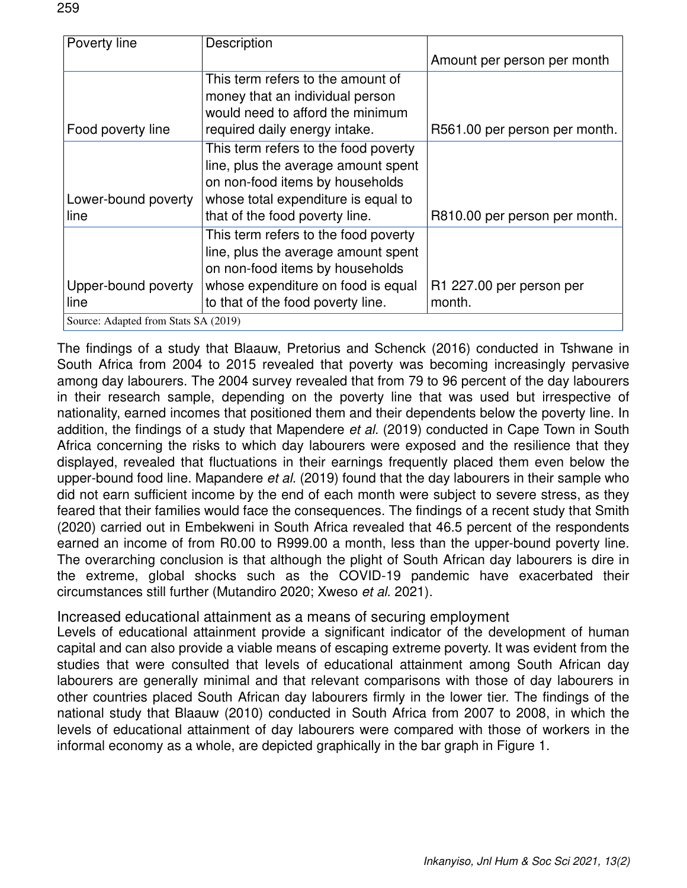| Poverty line                         | Description                          |                               |
|--------------------------------------|--------------------------------------|-------------------------------|
|                                      |                                      | Amount per person per month   |
|                                      | This term refers to the amount of    |                               |
|                                      | money that an individual person      |                               |
|                                      | would need to afford the minimum     |                               |
| Food poverty line                    | required daily energy intake.        | R561.00 per person per month. |
|                                      | This term refers to the food poverty |                               |
|                                      | line, plus the average amount spent  |                               |
|                                      | on non-food items by households      |                               |
| Lower-bound poverty                  | whose total expenditure is equal to  |                               |
| line                                 | that of the food poverty line.       | R810.00 per person per month. |
|                                      | This term refers to the food poverty |                               |
|                                      | line, plus the average amount spent  |                               |
|                                      | on non-food items by households      |                               |
| Upper-bound poverty                  | whose expenditure on food is equal   | R1 227.00 per person per      |
| line                                 | to that of the food poverty line.    | month.                        |
| Source: Adapted from Stats SA (2019) |                                      |                               |

The findings of a study that Blaauw, Pretorius and Schenck (2016) conducted in Tshwane in South Africa from 2004 to 2015 revealed that poverty was becoming increasingly pervasive among day labourers. The 2004 survey revealed that from 79 to 96 percent of the day labourers in their research sample, depending on the poverty line that was used but irrespective of nationality, earned incomes that positioned them and their dependents below the poverty line. In addition, the findings of a study that Mapendere *et al.* (2019) conducted in Cape Town in South Africa concerning the risks to which day labourers were exposed and the resilience that they displayed, revealed that fluctuations in their earnings frequently placed them even below the upper-bound food line. Mapandere *et al.* (2019) found that the day labourers in their sample who did not earn sufficient income by the end of each month were subject to severe stress, as they feared that their families would face the consequences. The findings of a recent study that Smith (2020) carried out in Embekweni in South Africa revealed that 46.5 percent of the respondents earned an income of from R0.00 to R999.00 a month, less than the upper-bound poverty line. The overarching conclusion is that although the plight of South African day labourers is dire in the extreme, global shocks such as the COVID-19 pandemic have exacerbated their circumstances still further (Mutandiro 2020; Xweso *et al.* 2021).

Increased educational attainment as a means of securing employment

Levels of educational attainment provide a significant indicator of the development of human capital and can also provide a viable means of escaping extreme poverty. It was evident from the studies that were consulted that levels of educational attainment among South African day labourers are generally minimal and that relevant comparisons with those of day labourers in other countries placed South African day labourers firmly in the lower tier. The findings of the national study that Blaauw (2010) conducted in South Africa from 2007 to 2008, in which the levels of educational attainment of day labourers were compared with those of workers in the informal economy as a whole, are depicted graphically in the bar graph in Figure 1.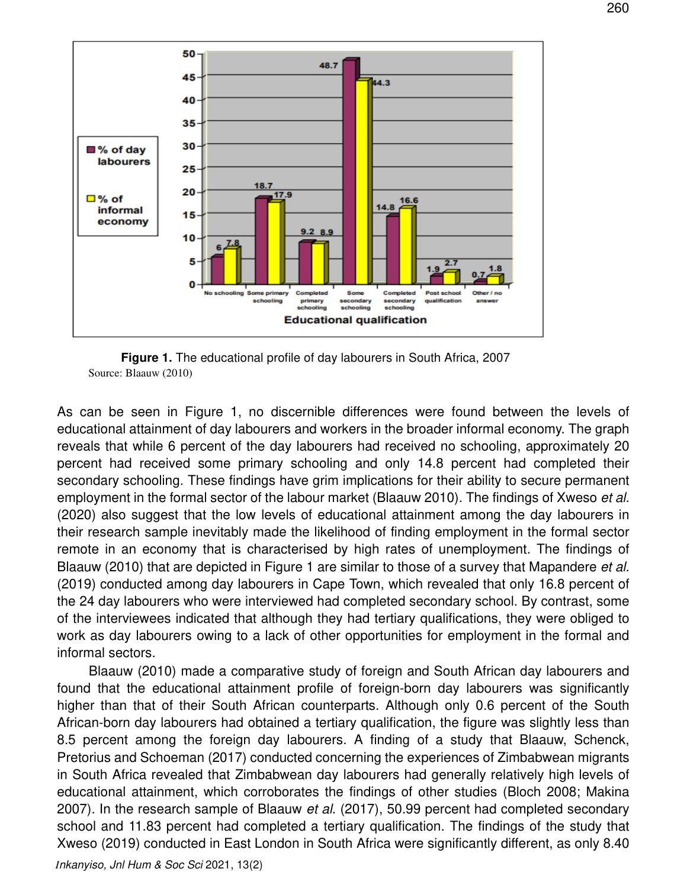

**Figure 1.** The educational profile of day labourers in South Africa, 2007 Source: Blaauw (2010)

As can be seen in Figure 1, no discernible differences were found between the levels of educational attainment of day labourers and workers in the broader informal economy. The graph reveals that while 6 percent of the day labourers had received no schooling, approximately 20 percent had received some primary schooling and only 14.8 percent had completed their secondary schooling. These findings have grim implications for their ability to secure permanent employment in the formal sector of the labour market (Blaauw 2010). The findings of Xweso *et al.* (2020) also suggest that the low levels of educational attainment among the day labourers in their research sample inevitably made the likelihood of finding employment in the formal sector remote in an economy that is characterised by high rates of unemployment. The findings of Blaauw (2010) that are depicted in Figure 1 are similar to those of a survey that Mapandere *et al.* (2019) conducted among day labourers in Cape Town, which revealed that only 16.8 percent of the 24 day labourers who were interviewed had completed secondary school. By contrast, some of the interviewees indicated that although they had tertiary qualifications, they were obliged to work as day labourers owing to a lack of other opportunities for employment in the formal and informal sectors.

Blaauw (2010) made a comparative study of foreign and South African day labourers and found that the educational attainment profile of foreign-born day labourers was significantly higher than that of their South African counterparts. Although only 0.6 percent of the South African-born day labourers had obtained a tertiary qualification, the figure was slightly less than 8.5 percent among the foreign day labourers. A finding of a study that Blaauw, Schenck, Pretorius and Schoeman (2017) conducted concerning the experiences of Zimbabwean migrants in South Africa revealed that Zimbabwean day labourers had generally relatively high levels of educational attainment, which corroborates the findings of other studies (Bloch 2008; Makina 2007). In the research sample of Blaauw *et al*. (2017), 50.99 percent had completed secondary school and 11.83 percent had completed a tertiary qualification. The findings of the study that Xweso (2019) conducted in East London in South Africa were significantly different, as only 8.40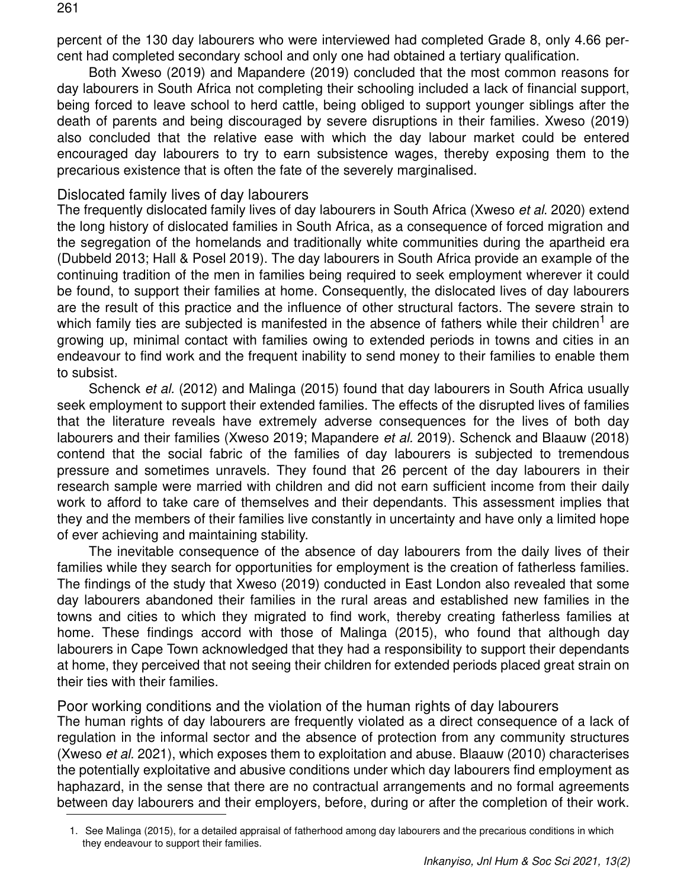percent of the 130 day labourers who were interviewed had completed Grade 8, only 4.66 percent had completed secondary school and only one had obtained a tertiary qualification.

Both Xweso (2019) and Mapandere (2019) concluded that the most common reasons for day labourers in South Africa not completing their schooling included a lack of financial support, being forced to leave school to herd cattle, being obliged to support younger siblings after the death of parents and being discouraged by severe disruptions in their families. Xweso (2019) also concluded that the relative ease with which the day labour market could be entered encouraged day labourers to try to earn subsistence wages, thereby exposing them to the precarious existence that is often the fate of the severely marginalised.

### Dislocated family lives of day labourers

The frequently dislocated family lives of day labourers in South Africa (Xweso *et al*. 2020) extend the long history of dislocated families in South Africa, as a consequence of forced migration and the segregation of the homelands and traditionally white communities during the apartheid era (Dubbeld 2013; Hall & Posel 2019). The day labourers in South Africa provide an example of the continuing tradition of the men in families being required to seek employment wherever it could be found, to support their families at home. Consequently, the dislocated lives of day labourers are the result of this practice and the influence of other structural factors. The severe strain to which family ties are subjected is manifested in the absence of fathers while their children<sup>1</sup> are growing up, minimal contact with families owing to extended periods in towns and cities in an endeavour to find work and the frequent inability to send money to their families to enable them to subsist.

Schenck *et al.* (2012) and Malinga (2015) found that day labourers in South Africa usually seek employment to support their extended families. The effects of the disrupted lives of families that the literature reveals have extremely adverse consequences for the lives of both day labourers and their families (Xweso 2019; Mapandere *et al.* 2019). Schenck and Blaauw (2018) contend that the social fabric of the families of day labourers is subjected to tremendous pressure and sometimes unravels. They found that 26 percent of the day labourers in their research sample were married with children and did not earn sufficient income from their daily work to afford to take care of themselves and their dependants. This assessment implies that they and the members of their families live constantly in uncertainty and have only a limited hope of ever achieving and maintaining stability.

The inevitable consequence of the absence of day labourers from the daily lives of their families while they search for opportunities for employment is the creation of fatherless families. The findings of the study that Xweso (2019) conducted in East London also revealed that some day labourers abandoned their families in the rural areas and established new families in the towns and cities to which they migrated to find work, thereby creating fatherless families at home. These findings accord with those of Malinga (2015), who found that although day labourers in Cape Town acknowledged that they had a responsibility to support their dependants at home, they perceived that not seeing their children for extended periods placed great strain on their ties with their families.

Poor working conditions and the violation of the human rights of day labourers

The human rights of day labourers are frequently violated as a direct consequence of a lack of regulation in the informal sector and the absence of protection from any community structures (Xweso *et al.* 2021), which exposes them to exploitation and abuse. Blaauw (2010) characterises the potentially exploitative and abusive conditions under which day labourers find employment as haphazard, in the sense that there are no contractual arrangements and no formal agreements between day labourers and their employers, before, during or after the completion of their work.

<sup>1.</sup> See Malinga (2015), for a detailed appraisal of fatherhood among day labourers and the precarious conditions in which they endeavour to support their families.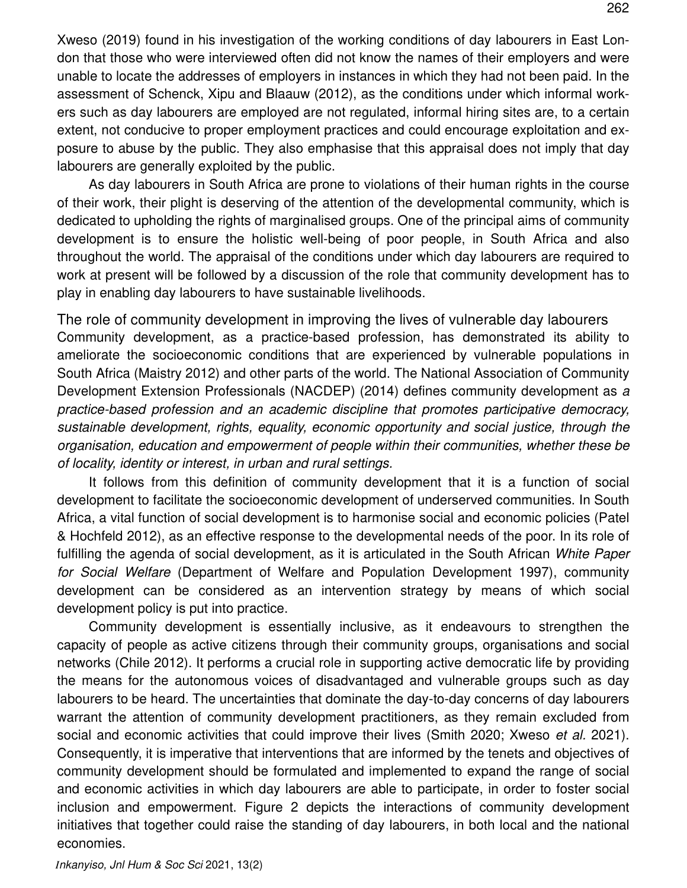Xweso (2019) found in his investigation of the working conditions of day labourers in East London that those who were interviewed often did not know the names of their employers and were unable to locate the addresses of employers in instances in which they had not been paid. In the assessment of Schenck, Xipu and Blaauw (2012), as the conditions under which informal workers such as day labourers are employed are not regulated, informal hiring sites are, to a certain extent, not conducive to proper employment practices and could encourage exploitation and exposure to abuse by the public. They also emphasise that this appraisal does not imply that day labourers are generally exploited by the public.

As day labourers in South Africa are prone to violations of their human rights in the course of their work, their plight is deserving of the attention of the developmental community, which is dedicated to upholding the rights of marginalised groups. One of the principal aims of community development is to ensure the holistic well-being of poor people, in South Africa and also throughout the world. The appraisal of the conditions under which day labourers are required to work at present will be followed by a discussion of the role that community development has to play in enabling day labourers to have sustainable livelihoods.

The role of community development in improving the lives of vulnerable day labourers Community development, as a practice-based profession, has demonstrated its ability to ameliorate the socioeconomic conditions that are experienced by vulnerable populations in South Africa (Maistry 2012) and other parts of the world. The National Association of Community Development Extension Professionals (NACDEP) (2014) defines community development as *a practice-based profession and an academic discipline that promotes participative democracy, sustainable development, rights, equality, economic opportunity and social justice, through the organisation, education and empowerment of people within their communities, whether these be of locality, identity or interest, in urban and rural settings.* 

It follows from this definition of community development that it is a function of social development to facilitate the socioeconomic development of underserved communities. In South Africa, a vital function of social development is to harmonise social and economic policies (Patel & Hochfeld 2012), as an effective response to the developmental needs of the poor. In its role of fulfilling the agenda of social development, as it is articulated in the South African *White Paper for Social Welfare* (Department of Welfare and Population Development 1997), community development can be considered as an intervention strategy by means of which social development policy is put into practice.

Community development is essentially inclusive, as it endeavours to strengthen the capacity of people as active citizens through their community groups, organisations and social networks (Chile 2012). It performs a crucial role in supporting active democratic life by providing the means for the autonomous voices of disadvantaged and vulnerable groups such as day labourers to be heard. The uncertainties that dominate the day-to-day concerns of day labourers warrant the attention of community development practitioners, as they remain excluded from social and economic activities that could improve their lives (Smith 2020; Xweso *et al.* 2021). Consequently, it is imperative that interventions that are informed by the tenets and objectives of community development should be formulated and implemented to expand the range of social and economic activities in which day labourers are able to participate, in order to foster social inclusion and empowerment. Figure 2 depicts the interactions of community development initiatives that together could raise the standing of day labourers, in both local and the national economies.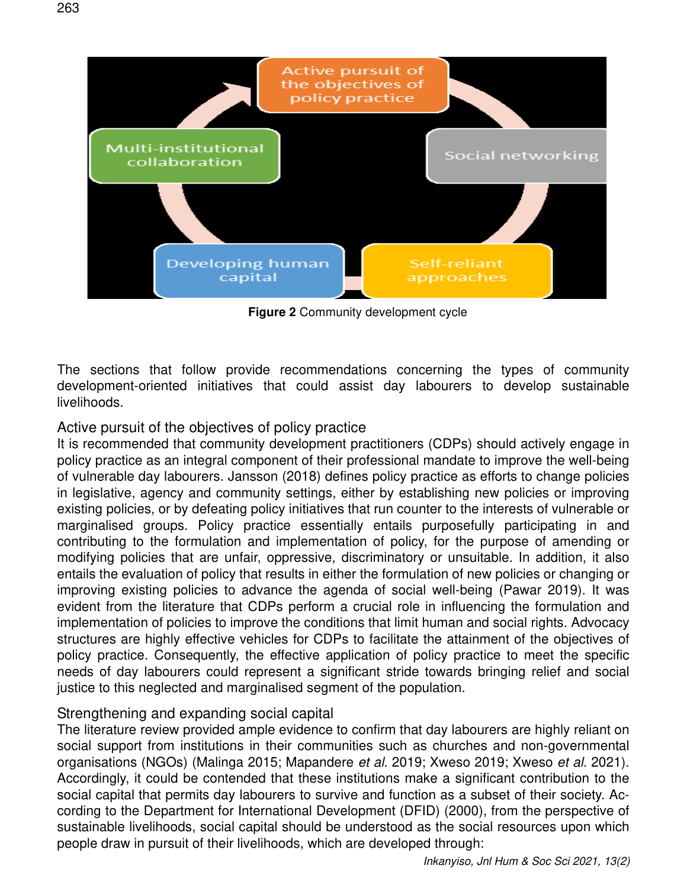

**Figure 2** Community development cycle

The sections that follow provide recommendations concerning the types of community development-oriented initiatives that could assist day labourers to develop sustainable livelihoods.

Active pursuit of the objectives of policy practice

It is recommended that community development practitioners (CDPs) should actively engage in policy practice as an integral component of their professional mandate to improve the well-being of vulnerable day labourers. Jansson (2018) defines policy practice as efforts to change policies in legislative, agency and community settings, either by establishing new policies or improving existing policies, or by defeating policy initiatives that run counter to the interests of vulnerable or marginalised groups. Policy practice essentially entails purposefully participating in and contributing to the formulation and implementation of policy, for the purpose of amending or modifying policies that are unfair, oppressive, discriminatory or unsuitable. In addition, it also entails the evaluation of policy that results in either the formulation of new policies or changing or improving existing policies to advance the agenda of social well-being (Pawar 2019). It was evident from the literature that CDPs perform a crucial role in influencing the formulation and implementation of policies to improve the conditions that limit human and social rights. Advocacy structures are highly effective vehicles for CDPs to facilitate the attainment of the objectives of policy practice. Consequently, the effective application of policy practice to meet the specific needs of day labourers could represent a significant stride towards bringing relief and social justice to this neglected and marginalised segment of the population.

### Strengthening and expanding social capital

The literature review provided ample evidence to confirm that day labourers are highly reliant on social support from institutions in their communities such as churches and non-governmental organisations (NGOs) (Malinga 2015; Mapandere *et al*. 2019; Xweso 2019; Xweso *et al*. 2021). Accordingly, it could be contended that these institutions make a significant contribution to the social capital that permits day labourers to survive and function as a subset of their society. According to the Department for International Development (DFID) (2000), from the perspective of sustainable livelihoods, social capital should be understood as the social resources upon which people draw in pursuit of their livelihoods, which are developed through: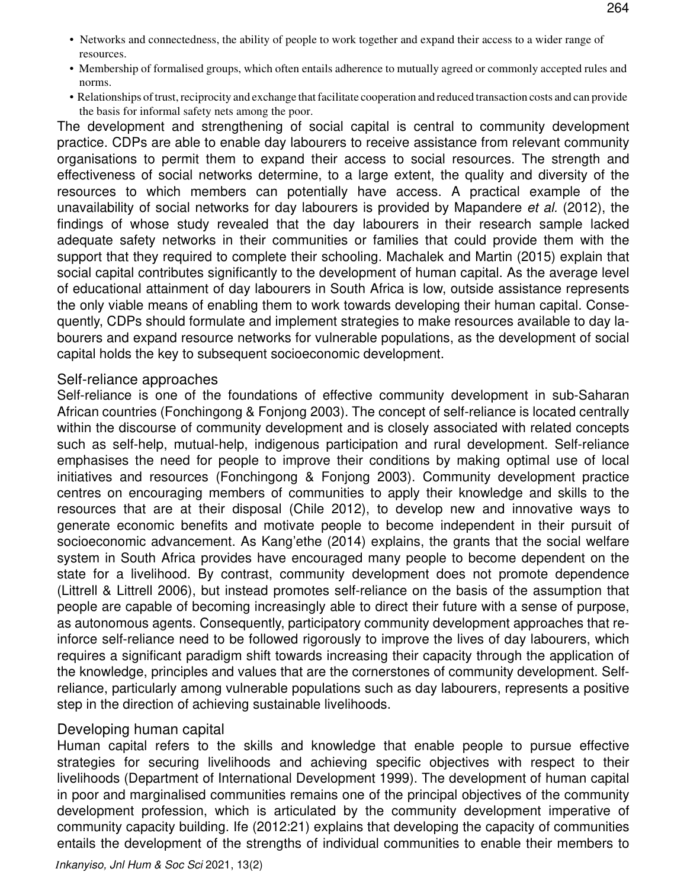- Networks and connectedness, the ability of people to work together and expand their access to a wider range of resources.
- Membership of formalised groups, which often entails adherence to mutually agreed or commonly accepted rules and norms.
- Relationships of trust, reciprocity and exchange that facilitate cooperation and reduced transaction costs and can provide the basis for informal safety nets among the poor.

The development and strengthening of social capital is central to community development practice. CDPs are able to enable day labourers to receive assistance from relevant community organisations to permit them to expand their access to social resources. The strength and effectiveness of social networks determine, to a large extent, the quality and diversity of the resources to which members can potentially have access. A practical example of the unavailability of social networks for day labourers is provided by Mapandere *et al.* (2012), the findings of whose study revealed that the day labourers in their research sample lacked adequate safety networks in their communities or families that could provide them with the support that they required to complete their schooling. Machalek and Martin (2015) explain that social capital contributes significantly to the development of human capital. As the average level of educational attainment of day labourers in South Africa is low, outside assistance represents the only viable means of enabling them to work towards developing their human capital. Consequently, CDPs should formulate and implement strategies to make resources available to day labourers and expand resource networks for vulnerable populations, as the development of social capital holds the key to subsequent socioeconomic development.

#### Self-reliance approaches

Self-reliance is one of the foundations of effective community development in sub-Saharan African countries (Fonchingong & Fonjong 2003). The concept of self-reliance is located centrally within the discourse of community development and is closely associated with related concepts such as self-help, mutual-help, indigenous participation and rural development. Self-reliance emphasises the need for people to improve their conditions by making optimal use of local initiatives and resources (Fonchingong & Fonjong 2003). Community development practice centres on encouraging members of communities to apply their knowledge and skills to the resources that are at their disposal (Chile 2012), to develop new and innovative ways to generate economic benefits and motivate people to become independent in their pursuit of socioeconomic advancement. As Kang'ethe (2014) explains, the grants that the social welfare system in South Africa provides have encouraged many people to become dependent on the state for a livelihood. By contrast, community development does not promote dependence (Littrell & Littrell 2006), but instead promotes self-reliance on the basis of the assumption that people are capable of becoming increasingly able to direct their future with a sense of purpose, as autonomous agents. Consequently, participatory community development approaches that reinforce self-reliance need to be followed rigorously to improve the lives of day labourers, which requires a significant paradigm shift towards increasing their capacity through the application of the knowledge, principles and values that are the cornerstones of community development. Selfreliance, particularly among vulnerable populations such as day labourers, represents a positive step in the direction of achieving sustainable livelihoods.

#### Developing human capital

Human capital refers to the skills and knowledge that enable people to pursue effective strategies for securing livelihoods and achieving specific objectives with respect to their livelihoods (Department of International Development 1999). The development of human capital in poor and marginalised communities remains one of the principal objectives of the community development profession, which is articulated by the community development imperative of community capacity building. Ife (2012:21) explains that developing the capacity of communities entails the development of the strengths of individual communities to enable their members to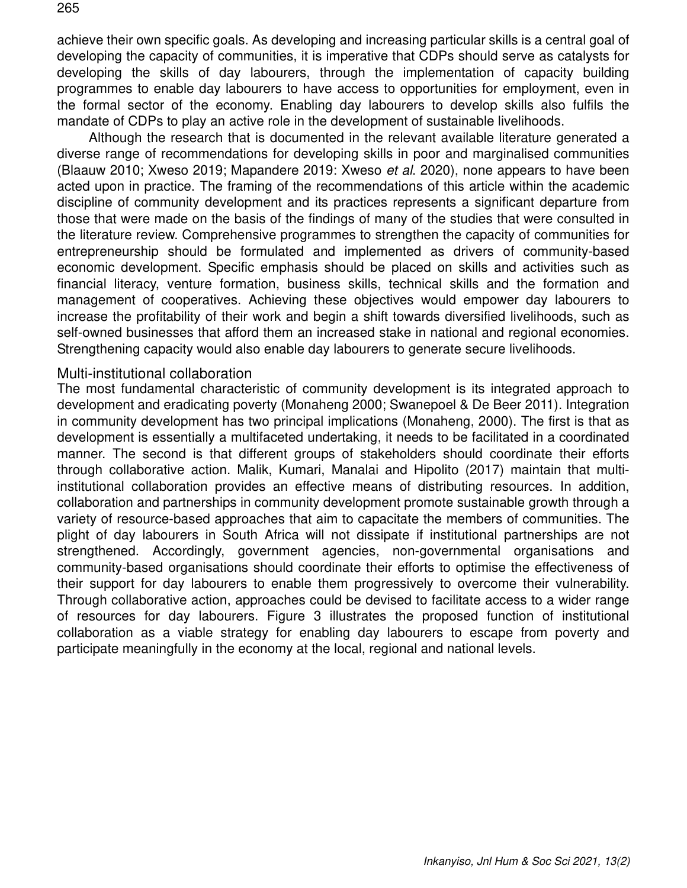achieve their own specific goals. As developing and increasing particular skills is a central goal of developing the capacity of communities, it is imperative that CDPs should serve as catalysts for

developing the skills of day labourers, through the implementation of capacity building programmes to enable day labourers to have access to opportunities for employment, even in the formal sector of the economy. Enabling day labourers to develop skills also fulfils the mandate of CDPs to play an active role in the development of sustainable livelihoods.

Although the research that is documented in the relevant available literature generated a diverse range of recommendations for developing skills in poor and marginalised communities (Blaauw 2010; Xweso 2019; Mapandere 2019: Xweso *et al*. 2020), none appears to have been acted upon in practice. The framing of the recommendations of this article within the academic discipline of community development and its practices represents a significant departure from those that were made on the basis of the findings of many of the studies that were consulted in the literature review. Comprehensive programmes to strengthen the capacity of communities for entrepreneurship should be formulated and implemented as drivers of community-based economic development. Specific emphasis should be placed on skills and activities such as financial literacy, venture formation, business skills, technical skills and the formation and management of cooperatives. Achieving these objectives would empower day labourers to increase the profitability of their work and begin a shift towards diversified livelihoods, such as self-owned businesses that afford them an increased stake in national and regional economies. Strengthening capacity would also enable day labourers to generate secure livelihoods.

#### Multi-institutional collaboration

The most fundamental characteristic of community development is its integrated approach to development and eradicating poverty (Monaheng 2000; Swanepoel & De Beer 2011). Integration in community development has two principal implications (Monaheng, 2000). The first is that as development is essentially a multifaceted undertaking, it needs to be facilitated in a coordinated manner. The second is that different groups of stakeholders should coordinate their efforts through collaborative action. Malik, Kumari, Manalai and Hipolito (2017) maintain that multiinstitutional collaboration provides an effective means of distributing resources. In addition, collaboration and partnerships in community development promote sustainable growth through a variety of resource-based approaches that aim to capacitate the members of communities. The plight of day labourers in South Africa will not dissipate if institutional partnerships are not strengthened. Accordingly, government agencies, non-governmental organisations and community-based organisations should coordinate their efforts to optimise the effectiveness of their support for day labourers to enable them progressively to overcome their vulnerability. Through collaborative action, approaches could be devised to facilitate access to a wider range of resources for day labourers. Figure 3 illustrates the proposed function of institutional collaboration as a viable strategy for enabling day labourers to escape from poverty and participate meaningfully in the economy at the local, regional and national levels.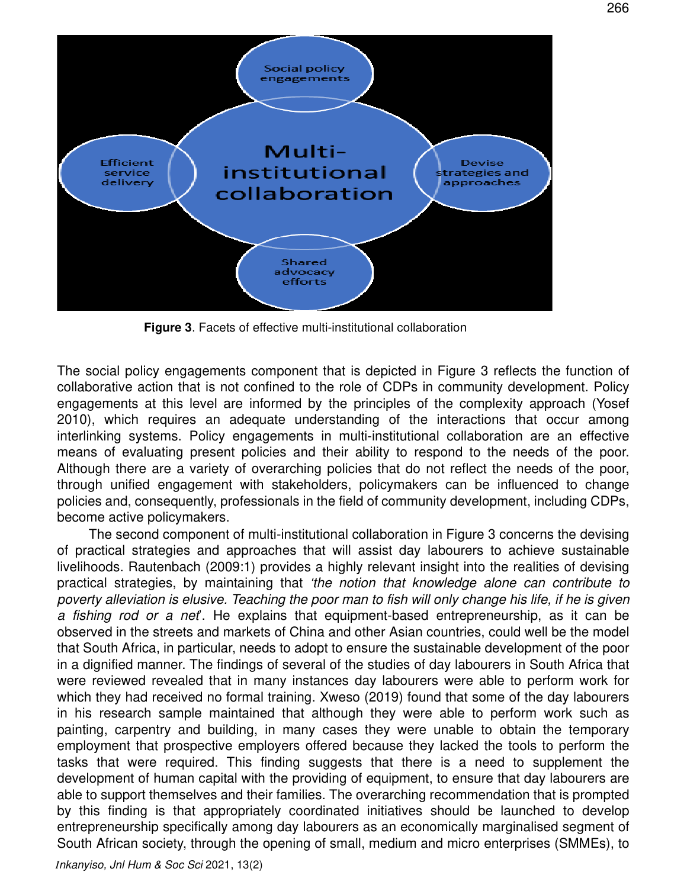

**Figure 3**. Facets of effective multi-institutional collaboration

The social policy engagements component that is depicted in Figure 3 reflects the function of collaborative action that is not confined to the role of CDPs in community development. Policy engagements at this level are informed by the principles of the complexity approach (Yosef 2010), which requires an adequate understanding of the interactions that occur among interlinking systems. Policy engagements in multi-institutional collaboration are an effective means of evaluating present policies and their ability to respond to the needs of the poor. Although there are a variety of overarching policies that do not reflect the needs of the poor, through unified engagement with stakeholders, policymakers can be influenced to change policies and, consequently, professionals in the field of community development, including CDPs, become active policymakers.

The second component of multi-institutional collaboration in Figure 3 concerns the devising of practical strategies and approaches that will assist day labourers to achieve sustainable livelihoods. Rautenbach (2009:1) provides a highly relevant insight into the realities of devising practical strategies, by maintaining that *'the notion that knowledge alone can contribute to poverty alleviation is elusive. Teaching the poor man to fish will only change his life, if he is given a fishing rod or a net*'. He explains that equipment-based entrepreneurship, as it can be observed in the streets and markets of China and other Asian countries, could well be the model that South Africa, in particular, needs to adopt to ensure the sustainable development of the poor in a dignified manner. The findings of several of the studies of day labourers in South Africa that were reviewed revealed that in many instances day labourers were able to perform work for which they had received no formal training. Xweso (2019) found that some of the day labourers in his research sample maintained that although they were able to perform work such as painting, carpentry and building, in many cases they were unable to obtain the temporary employment that prospective employers offered because they lacked the tools to perform the tasks that were required. This finding suggests that there is a need to supplement the development of human capital with the providing of equipment, to ensure that day labourers are able to support themselves and their families. The overarching recommendation that is prompted by this finding is that appropriately coordinated initiatives should be launched to develop entrepreneurship specifically among day labourers as an economically marginalised segment of South African society, through the opening of small, medium and micro enterprises (SMMEs), to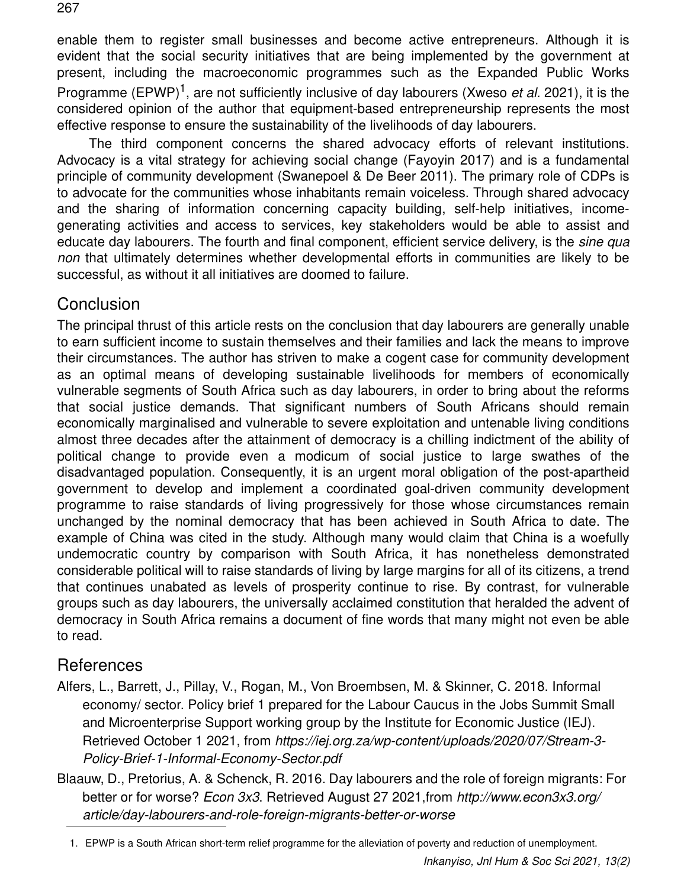enable them to register small businesses and become active entrepreneurs. Although it is evident that the social security initiatives that are being implemented by the government at present, including the macroeconomic programmes such as the Expanded Public Works Programme (EPWP)<sup>1</sup>, are not sufficiently inclusive of day labourers (Xweso *et al.* 2021), it is the considered opinion of the author that equipment-based entrepreneurship represents the most effective response to ensure the sustainability of the livelihoods of day labourers.

The third component concerns the shared advocacy efforts of relevant institutions. Advocacy is a vital strategy for achieving social change (Fayoyin 2017) and is a fundamental principle of community development (Swanepoel & De Beer 2011). The primary role of CDPs is to advocate for the communities whose inhabitants remain voiceless. Through shared advocacy and the sharing of information concerning capacity building, self-help initiatives, incomegenerating activities and access to services, key stakeholders would be able to assist and educate day labourers. The fourth and final component, efficient service delivery, is the *sine qua non* that ultimately determines whether developmental efforts in communities are likely to be successful, as without it all initiatives are doomed to failure.

## Conclusion

The principal thrust of this article rests on the conclusion that day labourers are generally unable to earn sufficient income to sustain themselves and their families and lack the means to improve their circumstances. The author has striven to make a cogent case for community development as an optimal means of developing sustainable livelihoods for members of economically vulnerable segments of South Africa such as day labourers, in order to bring about the reforms that social justice demands. That significant numbers of South Africans should remain economically marginalised and vulnerable to severe exploitation and untenable living conditions almost three decades after the attainment of democracy is a chilling indictment of the ability of political change to provide even a modicum of social justice to large swathes of the disadvantaged population. Consequently, it is an urgent moral obligation of the post-apartheid government to develop and implement a coordinated goal-driven community development programme to raise standards of living progressively for those whose circumstances remain unchanged by the nominal democracy that has been achieved in South Africa to date. The example of China was cited in the study. Although many would claim that China is a woefully undemocratic country by comparison with South Africa, it has nonetheless demonstrated considerable political will to raise standards of living by large margins for all of its citizens, a trend that continues unabated as levels of prosperity continue to rise. By contrast, for vulnerable groups such as day labourers, the universally acclaimed constitution that heralded the advent of democracy in South Africa remains a document of fine words that many might not even be able to read.

# References

- Alfers, L., Barrett, J., Pillay, V., Rogan, M., Von Broembsen, M. & Skinner, C. 2018. Informal economy/ sector. Policy brief 1 prepared for the Labour Caucus in the Jobs Summit Small and Microenterprise Support working group by the Institute for Economic Justice (IEJ). Retrieved October 1 2021, from *https://iej.org.za/wp-content/uploads/2020/07/Stream-3- Policy-Brief-1-Informal-Economy-Sector.pdf*
- Blaauw, D., Pretorius, A. & Schenck, R. 2016. Day labourers and the role of foreign migrants: For better or for worse? *Econ 3x3*. Retrieved August 27 2021,from *http://www.econ3x3.org/ article/day-labourers-and-role-foreign-migrants-better-or-worse*

1. EPWP is a South African short-term relief programme for the alleviation of poverty and reduction of unemployment.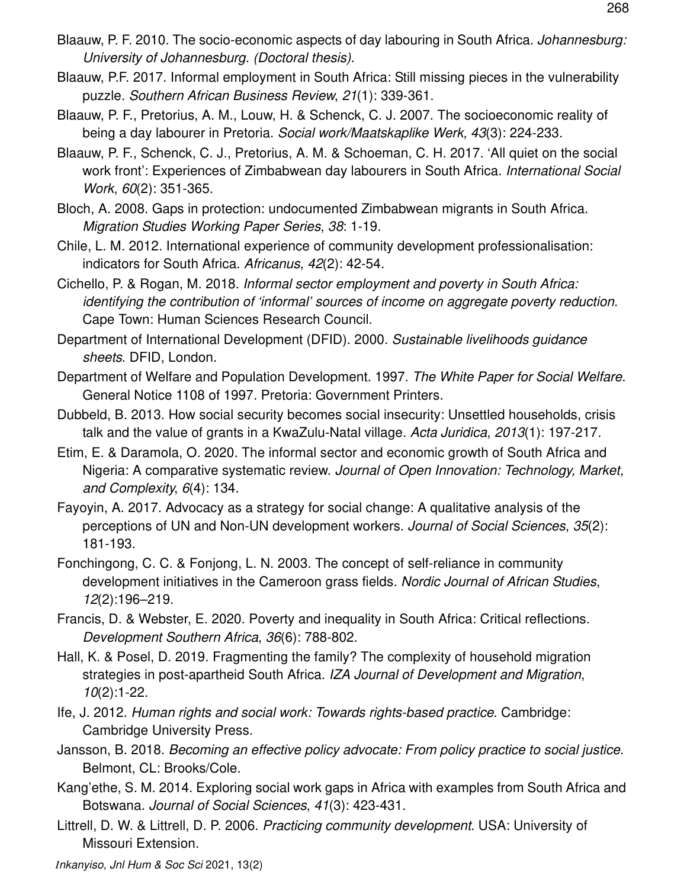- Blaauw, P. F. 2010. The socio-economic aspects of day labouring in South Africa. *Johannesburg: University of Johannesburg. (Doctoral thesis)*.
- Blaauw, P.F. 2017. Informal employment in South Africa: Still missing pieces in the vulnerability puzzle. *Southern African Business Review*, *21*(1): 339-361.
- Blaauw, P. F., Pretorius, A. M., Louw, H. & Schenck, C. J. 2007. The socioeconomic reality of being a day labourer in Pretoria. *Social work/Maatskaplike Werk, 43*(3): 224-233.
- Blaauw, P. F., Schenck, C. J., Pretorius, A. M. & Schoeman, C. H. 2017. 'All quiet on the social work front': Experiences of Zimbabwean day labourers in South Africa. *International Social Work*, *60*(2): 351-365.
- Bloch, A. 2008. Gaps in protection: undocumented Zimbabwean migrants in South Africa. *Migration Studies Working Paper Series*, *38*: 1-19.
- Chile, L. M. 2012. International experience of community development professionalisation: indicators for South Africa. *Africanus*, *42*(2): 42-54.
- Cichello, P. & Rogan, M. 2018. *Informal sector employment and poverty in South Africa: identifying the contribution of 'informal' sources of income on aggregate poverty reduction*. Cape Town: Human Sciences Research Council.
- Department of International Development (DFID). 2000. *Sustainable livelihoods guidance sheets*. DFID, London.
- Department of Welfare and Population Development. 1997. *The White Paper for Social Welfare*. General Notice 1108 of 1997. Pretoria: Government Printers.
- Dubbeld, B. 2013. How social security becomes social insecurity: Unsettled households, crisis talk and the value of grants in a KwaZulu-Natal village. *Acta Juridica*, *2013*(1): 197-217.
- Etim, E. & Daramola, O. 2020. The informal sector and economic growth of South Africa and Nigeria: A comparative systematic review. *Journal of Open Innovation: Technology, Market, and Complexity*, *6*(4): 134.
- Fayoyin, A. 2017. Advocacy as a strategy for social change: A qualitative analysis of the perceptions of UN and Non-UN development workers. *Journal of Social Sciences*, *35*(2): 181-193.
- Fonchingong, C. C. & Fonjong, L. N. 2003. The concept of self-reliance in community development initiatives in the Cameroon grass fields. *Nordic Journal of African Studies*, *12*(2):196–219.
- Francis, D. & Webster, E. 2020. Poverty and inequality in South Africa: Critical reflections. *Development Southern Africa*, *36*(6): 788-802.
- Hall, K. & Posel, D. 2019. Fragmenting the family? The complexity of household migration strategies in post-apartheid South Africa. *IZA Journal of Development and Migration*, *10*(2):1-22.
- Ife, J. 2012. *Human rights and social work: Towards rights-based practice*. Cambridge: Cambridge University Press.
- Jansson, B. 2018. *Becoming an effective policy advocate: From policy practice to social justice*. Belmont, CL: Brooks/Cole.
- Kang'ethe, S. M. 2014. Exploring social work gaps in Africa with examples from South Africa and Botswana. *Journal of Social Sciences*, *41*(3): 423-431.
- Littrell, D. W. & Littrell, D. P. 2006. *Practicing community development*. USA: University of Missouri Extension.

*Inkanyiso, Jnl Hum & Soc Sci* 2021, 13(2)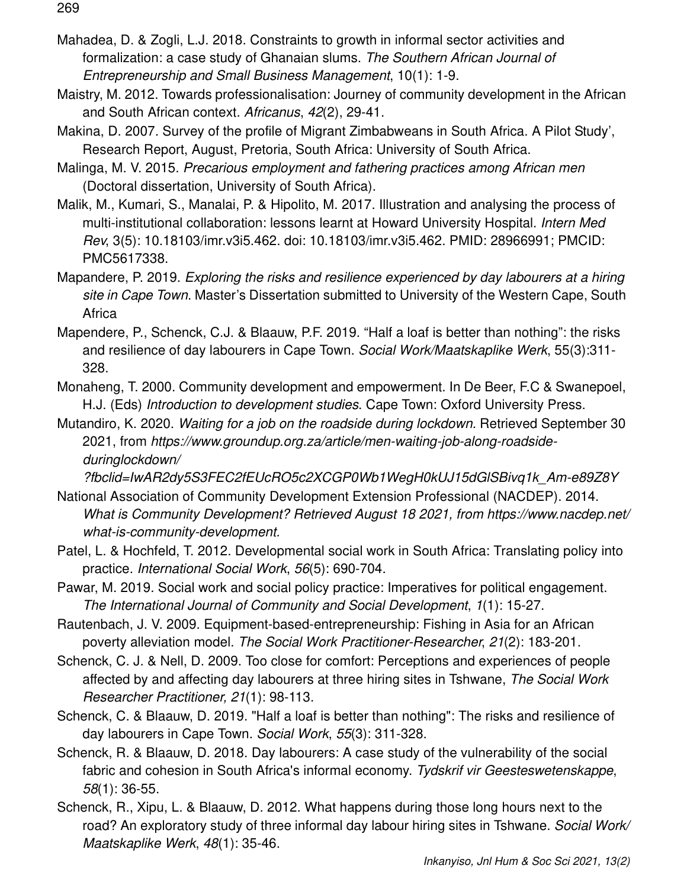Mahadea, D. & Zogli, L.J. 2018. Constraints to growth in informal sector activities and formalization: a case study of Ghanaian slums. *The Southern African Journal of Entrepreneurship and Small Business Management*, 10(1): 1-9.

Maistry, M. 2012. Towards professionalisation: Journey of community development in the African and South African context. *Africanus*, *42*(2), 29-41.

Makina, D. 2007. Survey of the profile of Migrant Zimbabweans in South Africa. A Pilot Study', Research Report, August, Pretoria, South Africa: University of South Africa.

Malinga, M. V. 2015. *Precarious employment and fathering practices among African men* (Doctoral dissertation, University of South Africa).

Malik, M., Kumari, S., Manalai, P. & Hipolito, M. 2017. Illustration and analysing the process of multi-institutional collaboration: lessons learnt at Howard University Hospital. *Intern Med Rev*, 3(5): 10.18103/imr.v3i5.462. doi: 10.18103/imr.v3i5.462. PMID: 28966991; PMCID: PMC5617338.

Mapandere, P. 2019. *Exploring the risks and resilience experienced by day labourers at a hiring site in Cape Town*. Master's Dissertation submitted to University of the Western Cape, South **Africa** 

Mapendere, P., Schenck, C.J. & Blaauw, P.F. 2019. "Half a loaf is better than nothing": the risks and resilience of day labourers in Cape Town. *Social Work/Maatskaplike Werk*, 55(3):311- 328.

Monaheng, T. 2000. Community development and empowerment. In De Beer, F.C & Swanepoel, H.J. (Eds) *Introduction to development studies*. Cape Town: Oxford University Press.

Mutandiro, K. 2020. *Waiting for a job on the roadside during lockdown.* Retrieved September 30 2021, from *https://www.groundup.org.za/article/men-waiting-job-along-roadsideduringlockdown/*

*?fbclid=IwAR2dy5S3FEC2fEUcRO5c2XCGP0Wb1WegH0kUJ15dGlSBivq1k\_Am-e89Z8Y* 

- National Association of Community Development Extension Professional (NACDEP). 2014. *What is Community Development? Retrieved August 18 2021, from https://www.nacdep.net/ what-is-community-development.*
- Patel, L. & Hochfeld, T. 2012. Developmental social work in South Africa: Translating policy into practice. *International Social Work*, *56*(5): 690-704.

Pawar, M. 2019. Social work and social policy practice: Imperatives for political engagement. *The International Journal of Community and Social Development*, *1*(1): 15-27.

Rautenbach, J. V. 2009. Equipment-based-entrepreneurship: Fishing in Asia for an African poverty alleviation model. *The Social Work Practitioner-Researcher*, *21*(2): 183-201.

Schenck, C. J. & Nell, D. 2009. Too close for comfort: Perceptions and experiences of people affected by and affecting day labourers at three hiring sites in Tshwane, *The Social Work Researcher Practitioner, 21*(1): 98-113.

Schenck, C. & Blaauw, D. 2019. "Half a loaf is better than nothing": The risks and resilience of day labourers in Cape Town. *Social Work*, *55*(3): 311-328.

Schenck, R. & Blaauw, D. 2018. Day labourers: A case study of the vulnerability of the social fabric and cohesion in South Africa's informal economy. *Tydskrif vir Geesteswetenskappe*, *58*(1): 36-55.

Schenck, R., Xipu, L. & Blaauw, D. 2012. What happens during those long hours next to the road? An exploratory study of three informal day labour hiring sites in Tshwane. *Social Work/ Maatskaplike Werk*, *48*(1): 35-46.